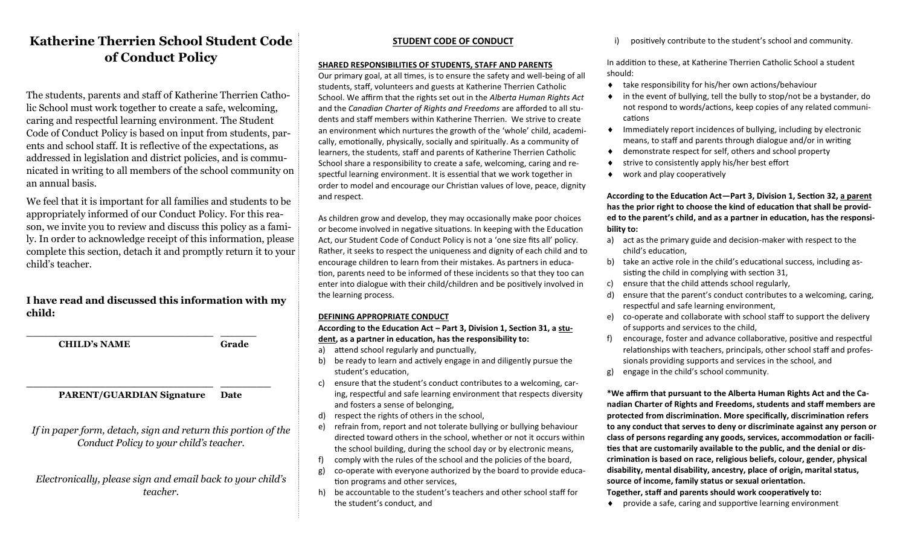## **Katherine Therrien School Student Code of Conduct Policy**

The students, parents and staff of Katherine Therrien Catholic School must work together to create a safe, welcoming, caring and respectful learning environment. The Student Code of Conduct Policy is based on input from students, parents and school staff. It is reflective of the expectations, as addressed in legislation and district policies, and is communicated in writing to all members of the school community on an annual basis.

We feel that it is important for all families and students to be appropriately informed of our Conduct Policy. For this reason, we invite you to review and discuss this policy as a family. In order to acknowledge receipt of this information, please complete this section, detach it and promptly return it to your child's teacher.

## **I have read and discussed this information with my child:**

**CHILD's NAME Grade**

\_\_\_\_\_\_\_\_\_\_\_\_\_\_\_\_\_\_\_\_\_\_\_\_\_\_ \_\_\_\_\_

### \_\_\_\_\_\_\_\_\_\_\_\_\_\_\_\_\_\_\_\_\_\_\_\_\_\_ \_\_\_\_\_\_\_ **PARENT/GUARDIAN Signature Date**

*If in paper form, detach, sign and return this portion of the Conduct Policy to your child's teacher.*

*Electronically, please sign and email back to your child's teacher.*

## **STUDENT CODE OF CONDUCT**

### **SHARED RESPONSIBILITIES OF STUDENTS, STAFF AND PARENTS**

Our primary goal, at all times, is to ensure the safety and well-being of all students, staff, volunteers and guests at Katherine Therrien Catholic School. We affirm that the rights set out in the *Alberta Human Rights Act*  and the *Canadian Charter of Rights and Freedoms* are afforded to all students and staff members within Katherine Therrien. We strive to create an environment which nurtures the growth of the 'whole' child, academically, emotionally, physically, socially and spiritually. As a community of learners, the students, staff and parents of Katherine Therrien Catholic School share a responsibility to create a safe, welcoming, caring and respectful learning environment. It is essential that we work together in order to model and encourage our Christian values of love, peace, dignity and respect.

As children grow and develop, they may occasionally make poor choices or become involved in negative situations. In keeping with the Education Act, our Student Code of Conduct Policy is not a 'one size fits all' policy. Rather, it seeks to respect the uniqueness and dignity of each child and to encourage children to learn from their mistakes. As partners in education, parents need to be informed of these incidents so that they too can enter into dialogue with their child/children and be positively involved in the learning process.

#### **DEFINING APPROPRIATE CONDUCT**

**According to the Education Act – Part 3, Division 1, Section 31, a student, as a partner in education, has the responsibility to:**

- a) attend school regularly and punctually,
- b) be ready to learn and actively engage in and diligently pursue the student's education,
- c) ensure that the student's conduct contributes to a welcoming, caring, respectful and safe learning environment that respects diversity and fosters a sense of belonging,
- d) respect the rights of others in the school,
- e) refrain from, report and not tolerate bullying or bullying behaviour directed toward others in the school, whether or not it occurs within the school building, during the school day or by electronic means,
- f) comply with the rules of the school and the policies of the board,
- g) co-operate with everyone authorized by the board to provide education programs and other services,
- h) be accountable to the student's teachers and other school staff for the student's conduct, and

positively contribute to the student's school and community.

In addition to these, at Katherine Therrien Catholic School a student should:

- take responsibility for his/her own actions/behaviour
- in the event of bullying, tell the bully to stop/not be a bystander, do not respond to words/actions, keep copies of any related communications
- $\bullet$  Immediately report incidences of bullying, including by electronic means, to staff and parents through dialogue and/or in writing
- demonstrate respect for self, others and school property
- strive to consistently apply his/her best effort
- work and play cooperatively

**According to the Education Act—Part 3, Division 1, Section 32, a parent has the prior right to choose the kind of education that shall be provided to the parent's child, and as a partner in education, has the responsibility to:**

- a) act as the primary guide and decision-maker with respect to the child's education,
- b) take an active role in the child's educational success, including assisting the child in complying with section 31,
- c) ensure that the child attends school regularly,
- d) ensure that the parent's conduct contributes to a welcoming, caring, respectful and safe learning environment,
- e) co-operate and collaborate with school staff to support the delivery of supports and services to the child,
- f) encourage, foster and advance collaborative, positive and respectful relationships with teachers, principals, other school staff and professionals providing supports and services in the school, and
- g) engage in the child's school community.

**\*We affirm that pursuant to the Alberta Human Rights Act and the Canadian Charter of Rights and Freedoms, students and staff members are protected from discrimination. More specifically, discrimination refers to any conduct that serves to deny or discriminate against any person or class of persons regarding any goods, services, accommodation or facilities that are customarily available to the public, and the denial or discrimination is based on race, religious beliefs, colour, gender, physical disability, mental disability, ancestry, place of origin, marital status, source of income, family status or sexual orientation. Together, staff and parents should work cooperatively to:**

provide a safe, caring and supportive learning environment